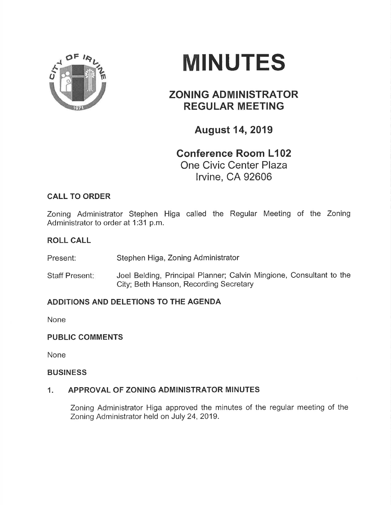

# MINUTES

## ZONING ADMINISTRATOR REGULAR MEETING

August 14,2019

## Gonference Room L102 One Civic Center Plaza lrvine, CA 92606

### CALL TO ORDER

Zoning Administrator Stephen Higa called the Regular Meeting of the Zoning Administrator to order at 1:31 p.m.

#### ROLL CALL

Present: Stephen Higa, Zoning Administrator

Staff Present: Joel Belding, Principal Planner; Calvin Mingione, Consultant to the City; Beth Hanson, Recording Secretary

#### ADDITIONS AND DELETIONS TO THE AGENDA

None

#### PUBLIC COMMENTS

None

#### **BUSINESS**

#### 1. APPROVAL OF ZONING ADMINISTRATOR MINUTES

Zoning Administrator Higa approved the minutes of the regular meeting of the Zoning Administrator held on July 24,2019.